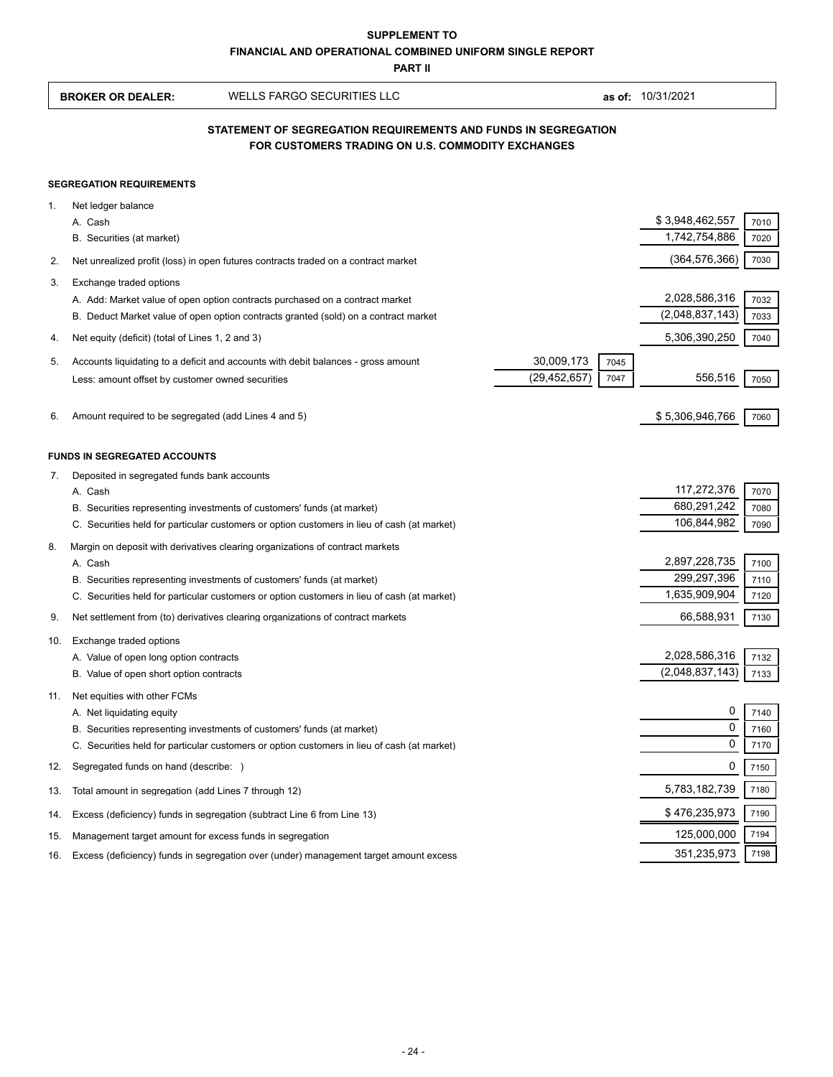|     | <b>SUPPLEMENT TO</b><br><b>FINANCIAL AND OPERATIONAL COMBINED UNIFORM SINGLE REPORT</b> |                                                                                                                                                                       |                |      |                                  |              |  |  |
|-----|-----------------------------------------------------------------------------------------|-----------------------------------------------------------------------------------------------------------------------------------------------------------------------|----------------|------|----------------------------------|--------------|--|--|
|     |                                                                                         | <b>PART II</b>                                                                                                                                                        |                |      |                                  |              |  |  |
|     | <b>BROKER OR DEALER:</b>                                                                | <b>WELLS FARGO SECURITIES LLC</b>                                                                                                                                     |                |      | as of: 10/31/2021                |              |  |  |
|     |                                                                                         | STATEMENT OF SEGREGATION REQUIREMENTS AND FUNDS IN SEGREGATION<br>FOR CUSTOMERS TRADING ON U.S. COMMODITY EXCHANGES                                                   |                |      |                                  |              |  |  |
|     | <b>SEGREGATION REQUIREMENTS</b>                                                         |                                                                                                                                                                       |                |      |                                  |              |  |  |
| 1.  | Net ledger balance                                                                      |                                                                                                                                                                       |                |      |                                  |              |  |  |
|     | A. Cash                                                                                 |                                                                                                                                                                       |                |      | \$3,948,462,557                  | 7010         |  |  |
|     | B. Securities (at market)                                                               |                                                                                                                                                                       |                |      | 1,742,754,886                    | 7020         |  |  |
| 2.  |                                                                                         | Net unrealized profit (loss) in open futures contracts traded on a contract market                                                                                    |                |      | (364, 576, 366)                  | 7030         |  |  |
| 3.  | Exchange traded options                                                                 |                                                                                                                                                                       |                |      |                                  |              |  |  |
|     |                                                                                         | A. Add: Market value of open option contracts purchased on a contract market                                                                                          |                |      | 2,028,586,316                    | 7032         |  |  |
|     |                                                                                         | B. Deduct Market value of open option contracts granted (sold) on a contract market                                                                                   |                |      | (2,048,837,143)                  | 7033         |  |  |
| 4.  | Net equity (deficit) (total of Lines 1, 2 and 3)                                        |                                                                                                                                                                       |                |      | 5,306,390,250                    | 7040         |  |  |
| 5.  |                                                                                         | Accounts liquidating to a deficit and accounts with debit balances - gross amount                                                                                     | 30,009,173     | 7045 |                                  |              |  |  |
|     | Less: amount offset by customer owned securities                                        |                                                                                                                                                                       | (29, 452, 657) | 7047 | 556,516                          | 7050         |  |  |
|     |                                                                                         |                                                                                                                                                                       |                |      |                                  |              |  |  |
| 6.  | Amount required to be segregated (add Lines 4 and 5)                                    |                                                                                                                                                                       |                |      | \$5,306,946,766                  | 7060         |  |  |
|     | <b>FUNDS IN SEGREGATED ACCOUNTS</b>                                                     |                                                                                                                                                                       |                |      |                                  |              |  |  |
| 7.  | Deposited in segregated funds bank accounts                                             |                                                                                                                                                                       |                |      |                                  |              |  |  |
|     | A. Cash                                                                                 |                                                                                                                                                                       |                |      | 117,272,376                      | 7070         |  |  |
|     |                                                                                         | B. Securities representing investments of customers' funds (at market)                                                                                                |                |      | 680,291,242                      | 7080         |  |  |
|     |                                                                                         | C. Securities held for particular customers or option customers in lieu of cash (at market)                                                                           |                |      | 106,844,982                      | 7090         |  |  |
| 8.  |                                                                                         | Margin on deposit with derivatives clearing organizations of contract markets                                                                                         |                |      |                                  |              |  |  |
|     | A. Cash                                                                                 |                                                                                                                                                                       |                |      | 2,897,228,735<br>299,297,396     | 7100         |  |  |
|     |                                                                                         | B. Securities representing investments of customers' funds (at market)<br>C. Securities held for particular customers or option customers in lieu of cash (at market) |                |      | 1,635,909,904                    | 7110<br>7120 |  |  |
|     |                                                                                         |                                                                                                                                                                       |                |      |                                  |              |  |  |
| 9.  |                                                                                         | Net settlement from (to) derivatives clearing organizations of contract markets                                                                                       |                |      | 66,588,931                       | 7130         |  |  |
| 10. | Exchange traded options                                                                 |                                                                                                                                                                       |                |      |                                  |              |  |  |
|     | A. Value of open long option contracts<br>B. Value of open short option contracts       |                                                                                                                                                                       |                |      | 2,028,586,316<br>(2,048,837,143) | 7132<br>7133 |  |  |
|     |                                                                                         |                                                                                                                                                                       |                |      |                                  |              |  |  |
| 11. | Net equities with other FCMs<br>A. Net liquidating equity                               |                                                                                                                                                                       |                |      | 0                                | 7140         |  |  |
|     |                                                                                         | B. Securities representing investments of customers' funds (at market)                                                                                                |                |      | 0                                | 7160         |  |  |
|     |                                                                                         | C. Securities held for particular customers or option customers in lieu of cash (at market)                                                                           |                |      | 0                                | 7170         |  |  |
| 12. | Segregated funds on hand (describe: )                                                   |                                                                                                                                                                       |                |      | 0                                | 7150         |  |  |
| 13. | Total amount in segregation (add Lines 7 through 12)                                    |                                                                                                                                                                       |                |      | 5,783,182,739                    | 7180         |  |  |
| 14. |                                                                                         | Excess (deficiency) funds in segregation (subtract Line 6 from Line 13)                                                                                               |                |      | \$476,235,973                    | 7190         |  |  |
| 15. | Management target amount for excess funds in segregation                                |                                                                                                                                                                       |                |      | 125,000,000                      | 7194         |  |  |
| 16. |                                                                                         | Excess (deficiency) funds in segregation over (under) management target amount excess                                                                                 |                |      | 351,235,973                      | 7198         |  |  |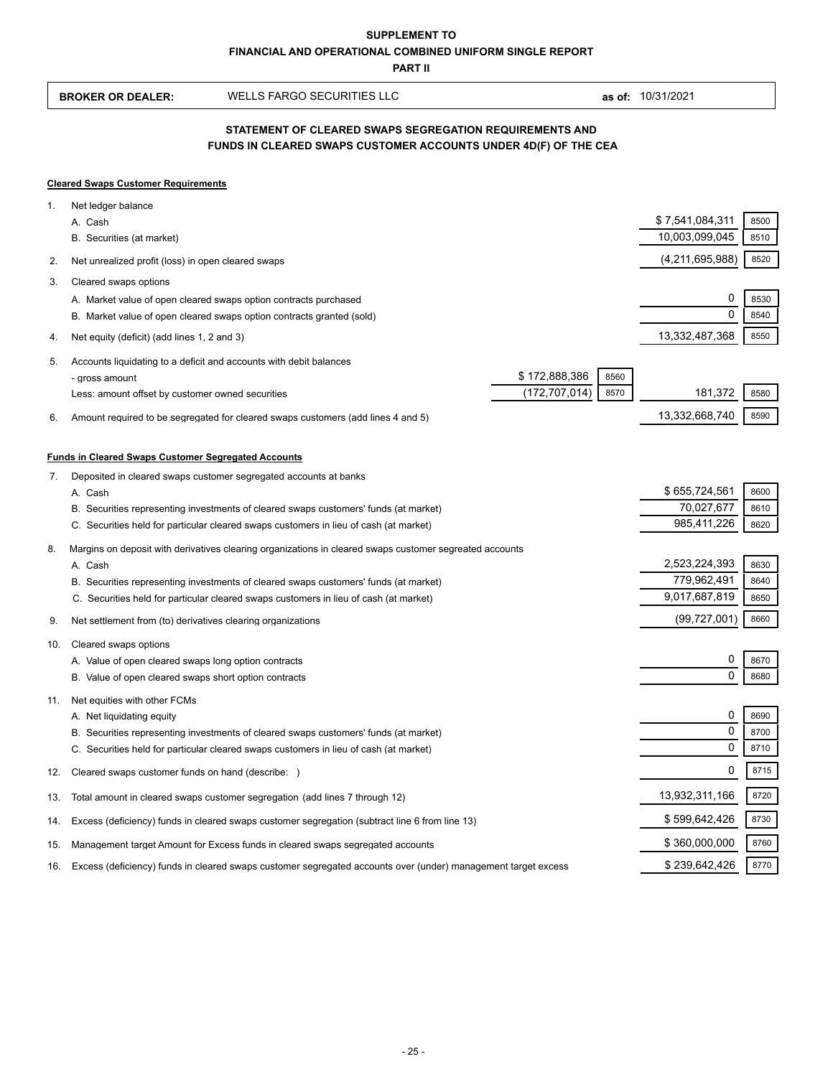**PART II**

|     | <b>BROKER OR DEALER:</b>                                                                                                               | WELLS FARGO SECURITIES LLC                                                                                                                                                                                                                                                               |                                                  | as of: 10/31/2021                             |                      |  |  |  |
|-----|----------------------------------------------------------------------------------------------------------------------------------------|------------------------------------------------------------------------------------------------------------------------------------------------------------------------------------------------------------------------------------------------------------------------------------------|--------------------------------------------------|-----------------------------------------------|----------------------|--|--|--|
|     | STATEMENT OF CLEARED SWAPS SEGREGATION REQUIREMENTS AND<br>FUNDS IN CLEARED SWAPS CUSTOMER ACCOUNTS UNDER 4D(F) OF THE CEA             |                                                                                                                                                                                                                                                                                          |                                                  |                                               |                      |  |  |  |
|     | <b>Cleared Swaps Customer Requirements</b>                                                                                             |                                                                                                                                                                                                                                                                                          |                                                  |                                               |                      |  |  |  |
| 1.  | Net ledger balance<br>A. Cash<br>B. Securities (at market)                                                                             |                                                                                                                                                                                                                                                                                          |                                                  | \$7,541,084,311<br>10,003,099,045             | 8500<br>8510         |  |  |  |
| 2.  | Net unrealized profit (loss) in open cleared swaps                                                                                     |                                                                                                                                                                                                                                                                                          |                                                  | (4,211,695,988)                               | 8520                 |  |  |  |
| 3.  | Cleared swaps options                                                                                                                  |                                                                                                                                                                                                                                                                                          |                                                  |                                               |                      |  |  |  |
|     |                                                                                                                                        | A. Market value of open cleared swaps option contracts purchased<br>B. Market value of open cleared swaps option contracts granted (sold)                                                                                                                                                |                                                  | 0<br>0                                        | 8530<br>8540         |  |  |  |
| 4.  | Net equity (deficit) (add lines 1, 2 and 3)                                                                                            |                                                                                                                                                                                                                                                                                          |                                                  | 13,332,487,368                                | 8550                 |  |  |  |
| 5.  | - gross amount<br>Less: amount offset by customer owned securities                                                                     | Accounts liquidating to a deficit and accounts with debit balances                                                                                                                                                                                                                       | \$172,888,386<br>8560<br>(172, 707, 014)<br>8570 | 181,372                                       | 8580                 |  |  |  |
| 6.  |                                                                                                                                        | Amount required to be segregated for cleared swaps customers (add lines 4 and 5)                                                                                                                                                                                                         |                                                  | 13,332,668,740                                | 8590                 |  |  |  |
| 7.  | <b>Funds in Cleared Swaps Customer Segregated Accounts</b><br>A. Cash                                                                  | Deposited in cleared swaps customer segregated accounts at banks<br>B. Securities representing investments of cleared swaps customers' funds (at market)<br>C. Securities held for particular cleared swaps customers in lieu of cash (at market)                                        |                                                  | \$655,724,561<br>70,027,677<br>985,411,226    | 8600<br>8610<br>8620 |  |  |  |
| 8.  | A. Cash                                                                                                                                | Margins on deposit with derivatives clearing organizations in cleared swaps customer segreated accounts<br>B. Securities representing investments of cleared swaps customers' funds (at market)<br>C. Securities held for particular cleared swaps customers in lieu of cash (at market) |                                                  | 2,523,224,393<br>779,962,491<br>9,017,687,819 | 8630<br>8640<br>8650 |  |  |  |
| 9.  | Net settlement from (to) derivatives clearing organizations                                                                            |                                                                                                                                                                                                                                                                                          |                                                  | (99, 727, 001)                                | 8660                 |  |  |  |
| 10. | Cleared swaps options<br>A. Value of open cleared swaps long option contracts<br>B. Value of open cleared swaps short option contracts |                                                                                                                                                                                                                                                                                          |                                                  | 0<br>0                                        | 8670<br>8680         |  |  |  |
| 11. | Net equities with other FCMs<br>A. Net liquidating equity                                                                              | B. Securities representing investments of cleared swaps customers' funds (at market)<br>C. Securities held for particular cleared swaps customers in lieu of cash (at market)                                                                                                            |                                                  | 0<br>0<br>0                                   | 8690<br>8700<br>8710 |  |  |  |
| 12. | Cleared swaps customer funds on hand (describe: )                                                                                      |                                                                                                                                                                                                                                                                                          |                                                  | 0                                             | 8715                 |  |  |  |
| 13. |                                                                                                                                        | Total amount in cleared swaps customer segregation (add lines 7 through 12)                                                                                                                                                                                                              |                                                  | 13,932,311,166                                | 8720                 |  |  |  |
| 14. |                                                                                                                                        | Excess (deficiency) funds in cleared swaps customer segregation (subtract line 6 from line 13)                                                                                                                                                                                           |                                                  | \$599,642,426                                 | 8730                 |  |  |  |
| 15. |                                                                                                                                        | Management target Amount for Excess funds in cleared swaps segregated accounts                                                                                                                                                                                                           |                                                  | \$360,000,000                                 | 8760                 |  |  |  |
| 16. |                                                                                                                                        | Excess (deficiency) funds in cleared swaps customer segregated accounts over (under) management target excess                                                                                                                                                                            |                                                  | \$239,642,426                                 | 8770                 |  |  |  |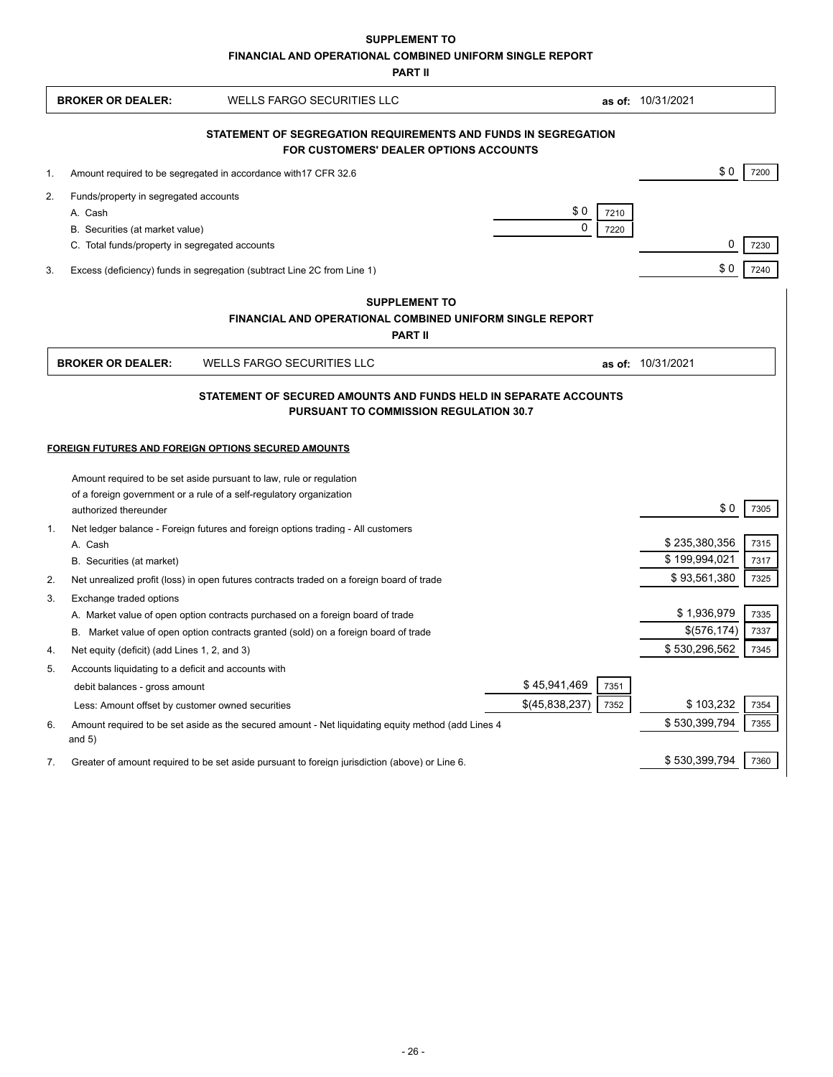**SUPPLEMENT TO**

**FINANCIAL AND OPERATIONAL COMBINED UNIFORM SINGLE REPORT**

**PART II**

|                                                                                                                                                                          | <b>BROKER OR DEALER:</b>                                            | WELLS FARGO SECURITIES LLC                                                                                                                                            |                                 | as of: 10/31/2021     |  |  |  |  |
|--------------------------------------------------------------------------------------------------------------------------------------------------------------------------|---------------------------------------------------------------------|-----------------------------------------------------------------------------------------------------------------------------------------------------------------------|---------------------------------|-----------------------|--|--|--|--|
| STATEMENT OF SEGREGATION REQUIREMENTS AND FUNDS IN SEGREGATION<br><b>FOR CUSTOMERS' DEALER OPTIONS ACCOUNTS</b>                                                          |                                                                     |                                                                                                                                                                       |                                 |                       |  |  |  |  |
|                                                                                                                                                                          |                                                                     |                                                                                                                                                                       |                                 | \$0<br>7200           |  |  |  |  |
| 1.                                                                                                                                                                       | Amount required to be segregated in accordance with 17 CFR 32.6     |                                                                                                                                                                       |                                 |                       |  |  |  |  |
| 2.                                                                                                                                                                       | Funds/property in segregated accounts                               |                                                                                                                                                                       |                                 |                       |  |  |  |  |
|                                                                                                                                                                          | A. Cash<br>B. Securities (at market value)                          |                                                                                                                                                                       | \$0<br>7210<br>$\Omega$<br>7220 |                       |  |  |  |  |
|                                                                                                                                                                          | C. Total funds/property in segregated accounts                      |                                                                                                                                                                       |                                 | 0<br>7230             |  |  |  |  |
| 3.                                                                                                                                                                       |                                                                     | Excess (deficiency) funds in segregation (subtract Line 2C from Line 1)                                                                                               |                                 | \$0<br>7240           |  |  |  |  |
|                                                                                                                                                                          |                                                                     | <b>SUPPLEMENT TO</b>                                                                                                                                                  |                                 |                       |  |  |  |  |
|                                                                                                                                                                          |                                                                     | <b>FINANCIAL AND OPERATIONAL COMBINED UNIFORM SINGLE REPORT</b>                                                                                                       |                                 |                       |  |  |  |  |
|                                                                                                                                                                          |                                                                     | <b>PART II</b>                                                                                                                                                        |                                 |                       |  |  |  |  |
|                                                                                                                                                                          | <b>BROKER OR DEALER:</b>                                            | <b>WELLS FARGO SECURITIES LLC</b>                                                                                                                                     |                                 | as of: 10/31/2021     |  |  |  |  |
| STATEMENT OF SECURED AMOUNTS AND FUNDS HELD IN SEPARATE ACCOUNTS<br><b>PURSUANT TO COMMISSION REGULATION 30.7</b><br>FOREIGN FUTURES AND FOREIGN OPTIONS SECURED AMOUNTS |                                                                     |                                                                                                                                                                       |                                 |                       |  |  |  |  |
|                                                                                                                                                                          | Amount required to be set aside pursuant to law, rule or regulation |                                                                                                                                                                       |                                 |                       |  |  |  |  |
|                                                                                                                                                                          | of a foreign government or a rule of a self-regulatory organization |                                                                                                                                                                       |                                 |                       |  |  |  |  |
|                                                                                                                                                                          | authorized thereunder                                               |                                                                                                                                                                       |                                 | \$0<br>7305           |  |  |  |  |
| $\mathbf{1}$ .                                                                                                                                                           |                                                                     | Net ledger balance - Foreign futures and foreign options trading - All customers                                                                                      |                                 |                       |  |  |  |  |
|                                                                                                                                                                          | A. Cash                                                             |                                                                                                                                                                       |                                 | \$235,380,356<br>7315 |  |  |  |  |
|                                                                                                                                                                          | B. Securities (at market)                                           |                                                                                                                                                                       |                                 | \$199,994,021<br>7317 |  |  |  |  |
| 2.                                                                                                                                                                       |                                                                     | Net unrealized profit (loss) in open futures contracts traded on a foreign board of trade                                                                             |                                 | \$93,561,380<br>7325  |  |  |  |  |
| 3.                                                                                                                                                                       | Exchange traded options                                             |                                                                                                                                                                       |                                 | \$1,936,979<br>7335   |  |  |  |  |
|                                                                                                                                                                          |                                                                     | A. Market value of open option contracts purchased on a foreign board of trade<br>B. Market value of open option contracts granted (sold) on a foreign board of trade |                                 | \$(576, 174)<br>7337  |  |  |  |  |
| 4.                                                                                                                                                                       | Net equity (deficit) (add Lines 1, 2, and 3)                        |                                                                                                                                                                       |                                 | \$530,296,562<br>7345 |  |  |  |  |
| 5.                                                                                                                                                                       | Accounts liquidating to a deficit and accounts with                 |                                                                                                                                                                       |                                 |                       |  |  |  |  |
|                                                                                                                                                                          | debit balances - gross amount                                       |                                                                                                                                                                       | \$45,941,469<br>7351            |                       |  |  |  |  |
|                                                                                                                                                                          | Less: Amount offset by customer owned securities                    |                                                                                                                                                                       | \$(45,838,237)<br>7352          | \$103,232<br>7354     |  |  |  |  |
| 6.                                                                                                                                                                       | and $5)$                                                            | Amount required to be set aside as the secured amount - Net liquidating equity method (add Lines 4                                                                    |                                 | \$530,399,794<br>7355 |  |  |  |  |
| 7.                                                                                                                                                                       |                                                                     | Greater of amount required to be set aside pursuant to foreign jurisdiction (above) or Line 6.                                                                        |                                 | \$530,399,794<br>7360 |  |  |  |  |